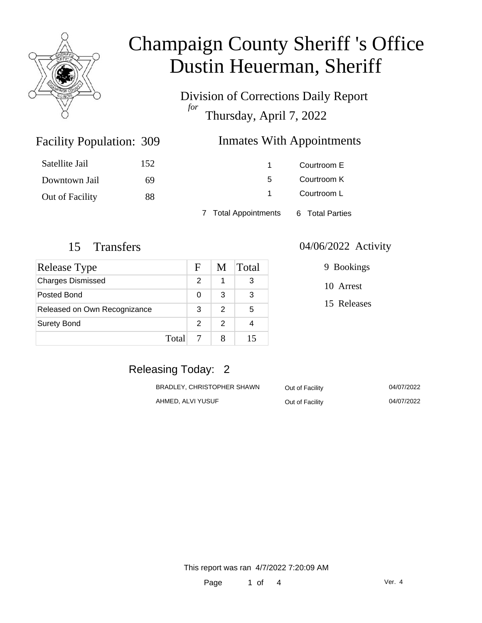

Division of Corrections Daily Report *for* Thursday, April 7, 2022

#### Inmates With Appointments

| Satellite Jail         | 152 |                      | Courtroom E     |  |
|------------------------|-----|----------------------|-----------------|--|
| Downtown Jail          | 69  | 5.                   | Courtroom K     |  |
| <b>Out of Facility</b> | 88  |                      | Courtroom L     |  |
|                        |     | 7 Total Appointments | 6 Total Parties |  |

Facility Population: 309

| <b>Release Type</b>          |       | F             | M | Total |
|------------------------------|-------|---------------|---|-------|
| <b>Charges Dismissed</b>     |       | $\mathcal{P}$ |   | 3     |
| Posted Bond                  |       | 0             | 3 | 3     |
| Released on Own Recognizance |       | 3             | 2 | 5     |
| <b>Surety Bond</b>           |       | $\mathcal{P}$ | 2 |       |
|                              | Total |               |   | 15    |

#### 15 Transfers 04/06/2022 Activity

|  | 9 Bookings |
|--|------------|
|  | 10 Arrest  |

15 Releases

## Releasing Today: 2

| BRADLEY, CHRISTOPHER SHAWN | Out of Facility | 04/07/2022 |
|----------------------------|-----------------|------------|
| AHMED, ALVI YUSUF          | Out of Facility | 04/07/2022 |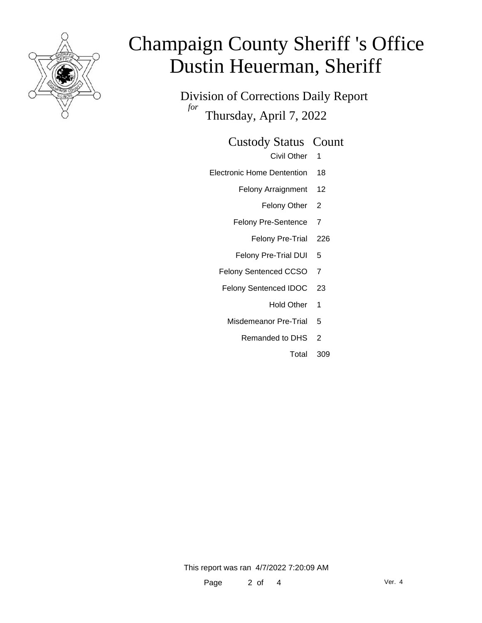

Division of Corrections Daily Report *for* Thursday, April 7, 2022

Custody Status Count

Civil Other 1

- Electronic Home Dentention 18
	- Felony Arraignment 12

Felony Other 2

- Felony Pre-Sentence 7
	- Felony Pre-Trial 226
- Felony Pre-Trial DUI 5
- Felony Sentenced CCSO 7
- Felony Sentenced IDOC 23
	- Hold Other 1
	- Misdemeanor Pre-Trial 5
		- Remanded to DHS 2
			- Total 309

This report was ran 4/7/2022 7:20:09 AM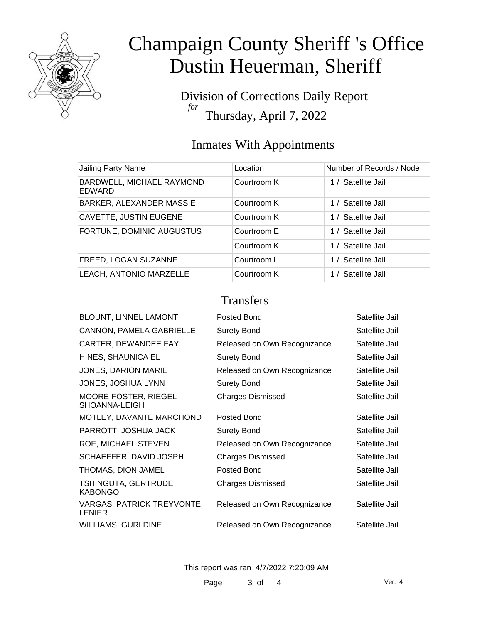

Division of Corrections Daily Report *for* Thursday, April 7, 2022

## Inmates With Appointments

| Jailing Party Name                  | Location    | Number of Records / Node |
|-------------------------------------|-------------|--------------------------|
| BARDWELL, MICHAEL RAYMOND<br>EDWARD | Courtroom K | 1 / Satellite Jail       |
| <b>BARKER, ALEXANDER MASSIE</b>     | Courtroom K | 1 / Satellite Jail       |
| <b>CAVETTE, JUSTIN EUGENE</b>       | Courtroom K | 1 / Satellite Jail       |
| FORTUNE, DOMINIC AUGUSTUS           | Courtroom E | 1 / Satellite Jail       |
|                                     | Courtroom K | 1 / Satellite Jail       |
| FREED, LOGAN SUZANNE                | Courtroom L | 1 / Satellite Jail       |
| LEACH, ANTONIO MARZELLE             | Courtroom K | 1 / Satellite Jail       |

#### **Transfers**

| BLOUNT, LINNEL LAMONT                             | Posted Bond                  | Satellite Jail |
|---------------------------------------------------|------------------------------|----------------|
| CANNON, PAMELA GABRIELLE                          | <b>Surety Bond</b>           | Satellite Jail |
| CARTER, DEWANDEE FAY                              | Released on Own Recognizance | Satellite Jail |
| HINES, SHAUNICA EL                                | <b>Surety Bond</b>           | Satellite Jail |
| <b>JONES, DARION MARIE</b>                        | Released on Own Recognizance | Satellite Jail |
| JONES, JOSHUA LYNN                                | <b>Surety Bond</b>           | Satellite Jail |
| MOORE-FOSTER, RIEGEL<br>SHOANNA-LEIGH             | <b>Charges Dismissed</b>     | Satellite Jail |
| MOTLEY, DAVANTE MARCHOND                          | Posted Bond                  | Satellite Jail |
| PARROTT, JOSHUA JACK                              | <b>Surety Bond</b>           | Satellite Jail |
| ROE, MICHAEL STEVEN                               | Released on Own Recognizance | Satellite Jail |
| SCHAEFFER, DAVID JOSPH                            | <b>Charges Dismissed</b>     | Satellite Jail |
| THOMAS, DION JAMEL                                | Posted Bond                  | Satellite Jail |
| <b>TSHINGUTA, GERTRUDE</b><br><b>KABONGO</b>      | <b>Charges Dismissed</b>     | Satellite Jail |
| <b>VARGAS, PATRICK TREYVONTE</b><br><b>LENIER</b> | Released on Own Recognizance | Satellite Jail |
| <b>WILLIAMS, GURLDINE</b>                         | Released on Own Recognizance | Satellite Jail |

This report was ran 4/7/2022 7:20:09 AM